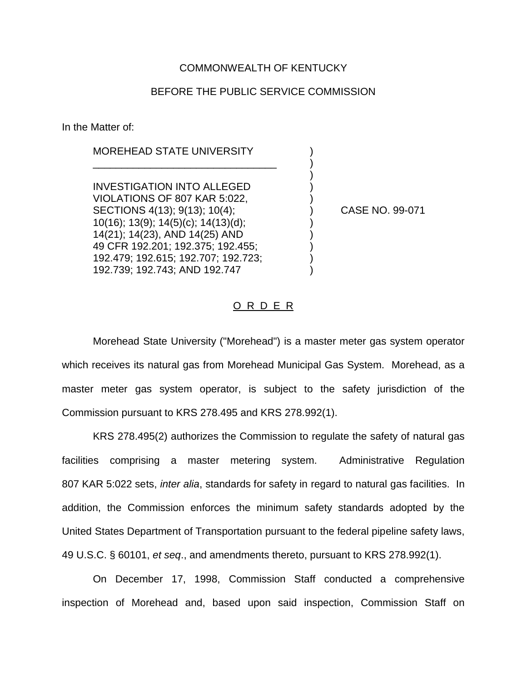### COMMONWEALTH OF KENTUCKY

### BEFORE THE PUBLIC SERVICE COMMISSION

)

In the Matter of:

# MOREHEAD STATE UNIVERSITY

\_\_\_\_\_\_\_\_\_\_\_\_\_\_\_\_\_\_\_\_\_\_\_\_\_\_\_\_\_\_\_\_ )

INVESTIGATION INTO ALLEGED ) VIOLATIONS OF 807 KAR 5:022, SECTIONS 4(13); 9(13); 10(4); ) CASE NO. 99-071 10(16); 13(9); 14(5)(c); 14(13)(d); ) 14(21); 14(23), AND 14(25) AND ) 49 CFR 192.201; 192.375; 192.455; ) 192.479; 192.615; 192.707; 192.723; ) 192.739; 192.743; AND 192.747 )

### O R D E R

Morehead State University ("Morehead") is a master meter gas system operator which receives its natural gas from Morehead Municipal Gas System. Morehead, as a master meter gas system operator, is subject to the safety jurisdiction of the Commission pursuant to KRS 278.495 and KRS 278.992(1).

KRS 278.495(2) authorizes the Commission to regulate the safety of natural gas facilities comprising a master metering system. Administrative Regulation 807 KAR 5:022 sets, *inter alia*, standards for safety in regard to natural gas facilities. In addition, the Commission enforces the minimum safety standards adopted by the United States Department of Transportation pursuant to the federal pipeline safety laws, 49 U.S.C. § 60101, *et seq*., and amendments thereto, pursuant to KRS 278.992(1).

On December 17, 1998, Commission Staff conducted a comprehensive inspection of Morehead and, based upon said inspection, Commission Staff on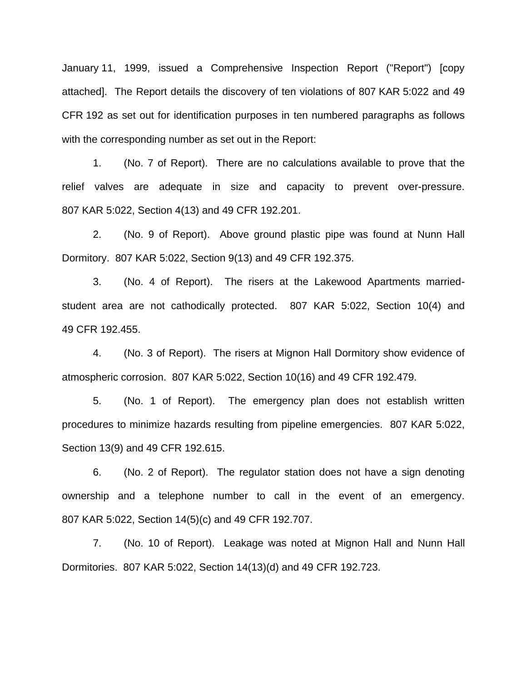January 11, 1999, issued a Comprehensive Inspection Report ("Report") [copy attached]. The Report details the discovery of ten violations of 807 KAR 5:022 and 49 CFR 192 as set out for identification purposes in ten numbered paragraphs as follows with the corresponding number as set out in the Report:

1. (No. 7 of Report). There are no calculations available to prove that the relief valves are adequate in size and capacity to prevent over-pressure. 807 KAR 5:022, Section 4(13) and 49 CFR 192.201.

2. (No. 9 of Report). Above ground plastic pipe was found at Nunn Hall Dormitory. 807 KAR 5:022, Section 9(13) and 49 CFR 192.375.

3. (No. 4 of Report). The risers at the Lakewood Apartments marriedstudent area are not cathodically protected. 807 KAR 5:022, Section 10(4) and 49 CFR 192.455.

4. (No. 3 of Report). The risers at Mignon Hall Dormitory show evidence of atmospheric corrosion. 807 KAR 5:022, Section 10(16) and 49 CFR 192.479.

5. (No. 1 of Report). The emergency plan does not establish written procedures to minimize hazards resulting from pipeline emergencies. 807 KAR 5:022, Section 13(9) and 49 CFR 192.615.

6. (No. 2 of Report). The regulator station does not have a sign denoting ownership and a telephone number to call in the event of an emergency. 807 KAR 5:022, Section 14(5)(c) and 49 CFR 192.707.

7. (No. 10 of Report). Leakage was noted at Mignon Hall and Nunn Hall Dormitories. 807 KAR 5:022, Section 14(13)(d) and 49 CFR 192.723.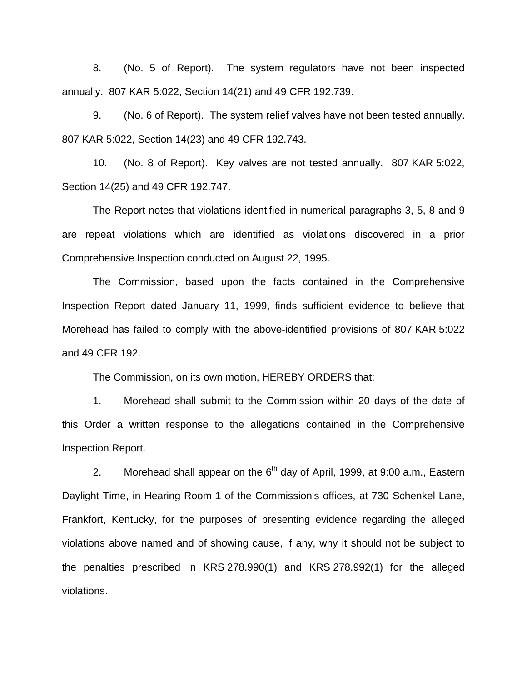8. (No. 5 of Report). The system regulators have not been inspected annually. 807 KAR 5:022, Section 14(21) and 49 CFR 192.739.

9. (No. 6 of Report). The system relief valves have not been tested annually. 807 KAR 5:022, Section 14(23) and 49 CFR 192.743.

10. (No. 8 of Report). Key valves are not tested annually. 807 KAR 5:022, Section 14(25) and 49 CFR 192.747.

The Report notes that violations identified in numerical paragraphs 3, 5, 8 and 9 are repeat violations which are identified as violations discovered in a prior Comprehensive Inspection conducted on August 22, 1995.

The Commission, based upon the facts contained in the Comprehensive Inspection Report dated January 11, 1999, finds sufficient evidence to believe that Morehead has failed to comply with the above-identified provisions of 807 KAR 5:022 and 49 CFR 192.

The Commission, on its own motion, HEREBY ORDERS that:

1. Morehead shall submit to the Commission within 20 days of the date of this Order a written response to the allegations contained in the Comprehensive Inspection Report.

2. Morehead shall appear on the  $6<sup>th</sup>$  day of April, 1999, at 9:00 a.m., Eastern Daylight Time, in Hearing Room 1 of the Commission's offices, at 730 Schenkel Lane, Frankfort, Kentucky, for the purposes of presenting evidence regarding the alleged violations above named and of showing cause, if any, why it should not be subject to the penalties prescribed in KRS 278.990(1) and KRS 278.992(1) for the alleged violations.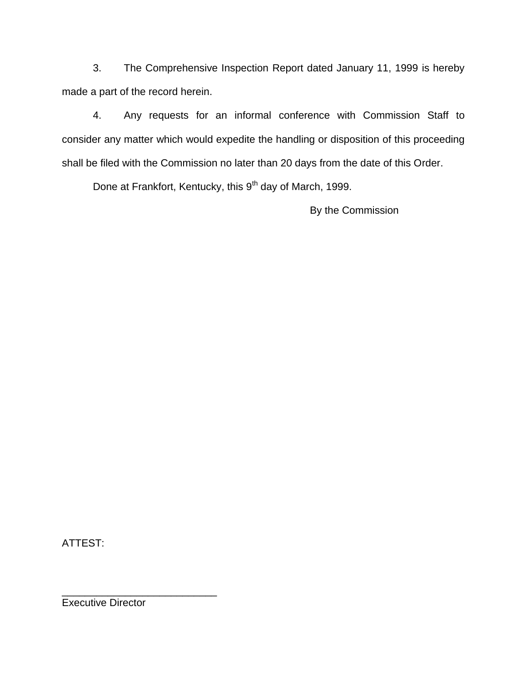3. The Comprehensive Inspection Report dated January 11, 1999 is hereby made a part of the record herein.

4. Any requests for an informal conference with Commission Staff to consider any matter which would expedite the handling or disposition of this proceeding shall be filed with the Commission no later than 20 days from the date of this Order.

Done at Frankfort, Kentucky, this 9<sup>th</sup> day of March, 1999.

By the Commission

ATTEST:

Executive Director

\_\_\_\_\_\_\_\_\_\_\_\_\_\_\_\_\_\_\_\_\_\_\_\_\_\_\_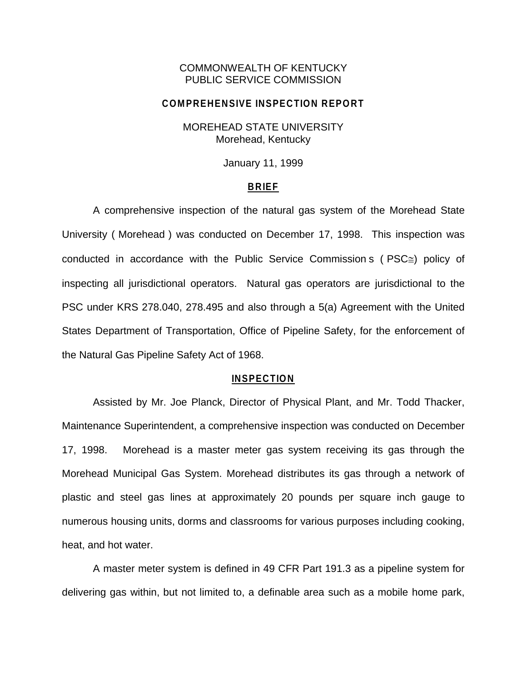## COMMONWEALTH OF KENTUCKY PUBLIC SERVICE COMMISSION

#### **COMPREHENSIVE INSPECTION REPORT**

## MOREHEAD STATE UNIVERSITY Morehead, Kentucky

January 11, 1999

### **BRIEF**

A comprehensive inspection of the natural gas system of the Morehead State University ( Morehead ) was conducted on December 17, 1998. This inspection was conducted in accordance with the Public Service Commission s ( $PSC \cong$ ) policy of inspecting all jurisdictional operators. Natural gas operators are jurisdictional to the PSC under KRS 278.040, 278.495 and also through a 5(a) Agreement with the United States Department of Transportation, Office of Pipeline Safety, for the enforcement of the Natural Gas Pipeline Safety Act of 1968.

#### **INSPECTION**

Assisted by Mr. Joe Planck, Director of Physical Plant, and Mr. Todd Thacker, Maintenance Superintendent, a comprehensive inspection was conducted on December 17, 1998. Morehead is a master meter gas system receiving its gas through the Morehead Municipal Gas System. Morehead distributes its gas through a network of plastic and steel gas lines at approximately 20 pounds per square inch gauge to numerous housing units, dorms and classrooms for various purposes including cooking, heat, and hot water.

A master meter system is defined in 49 CFR Part 191.3 as a pipeline system for delivering gas within, but not limited to, a definable area such as a mobile home park,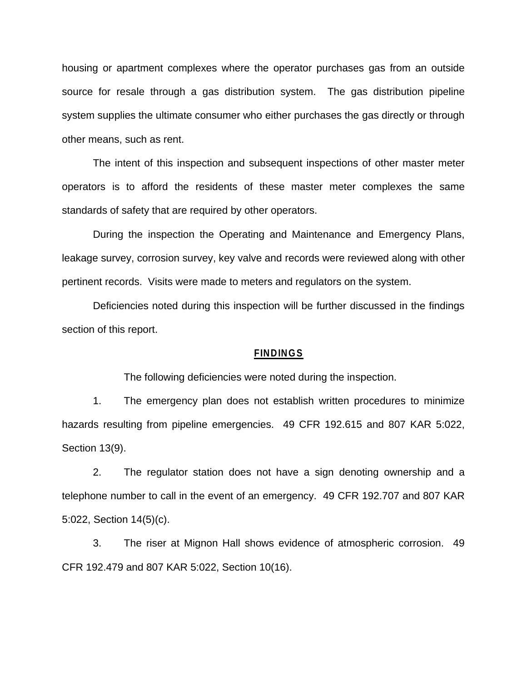housing or apartment complexes where the operator purchases gas from an outside source for resale through a gas distribution system. The gas distribution pipeline system supplies the ultimate consumer who either purchases the gas directly or through other means, such as rent.

The intent of this inspection and subsequent inspections of other master meter operators is to afford the residents of these master meter complexes the same standards of safety that are required by other operators.

During the inspection the Operating and Maintenance and Emergency Plans, leakage survey, corrosion survey, key valve and records were reviewed along with other pertinent records. Visits were made to meters and regulators on the system.

Deficiencies noted during this inspection will be further discussed in the findings section of this report.

#### **FINDINGS**

The following deficiencies were noted during the inspection.

1. The emergency plan does not establish written procedures to minimize hazards resulting from pipeline emergencies. 49 CFR 192.615 and 807 KAR 5:022, Section 13(9).

2. The regulator station does not have a sign denoting ownership and a telephone number to call in the event of an emergency. 49 CFR 192.707 and 807 KAR 5:022, Section 14(5)(c).

3. The riser at Mignon Hall shows evidence of atmospheric corrosion. 49 CFR 192.479 and 807 KAR 5:022, Section 10(16).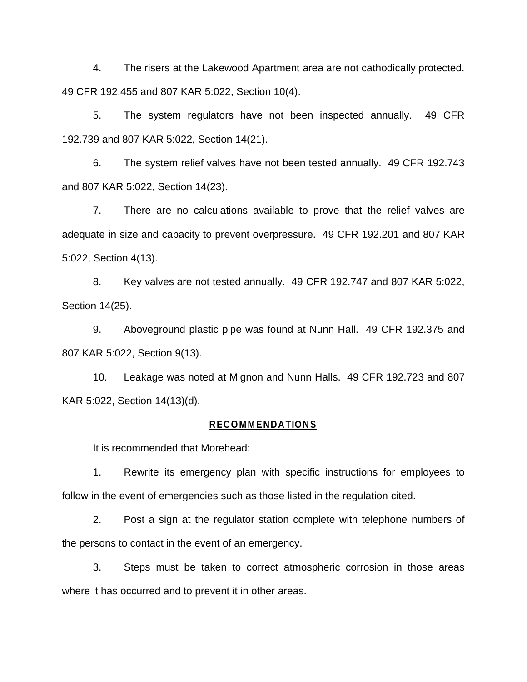4. The risers at the Lakewood Apartment area are not cathodically protected. 49 CFR 192.455 and 807 KAR 5:022, Section 10(4).

5. The system regulators have not been inspected annually. 49 CFR 192.739 and 807 KAR 5:022, Section 14(21).

6. The system relief valves have not been tested annually. 49 CFR 192.743 and 807 KAR 5:022, Section 14(23).

7. There are no calculations available to prove that the relief valves are adequate in size and capacity to prevent overpressure. 49 CFR 192.201 and 807 KAR 5:022, Section 4(13).

8. Key valves are not tested annually. 49 CFR 192.747 and 807 KAR 5:022, Section 14(25).

9. Aboveground plastic pipe was found at Nunn Hall. 49 CFR 192.375 and 807 KAR 5:022, Section 9(13).

10. Leakage was noted at Mignon and Nunn Halls. 49 CFR 192.723 and 807 KAR 5:022, Section 14(13)(d).

#### **RECOMMENDATIONS**

It is recommended that Morehead:

1. Rewrite its emergency plan with specific instructions for employees to follow in the event of emergencies such as those listed in the regulation cited.

2. Post a sign at the regulator station complete with telephone numbers of the persons to contact in the event of an emergency.

3. Steps must be taken to correct atmospheric corrosion in those areas where it has occurred and to prevent it in other areas.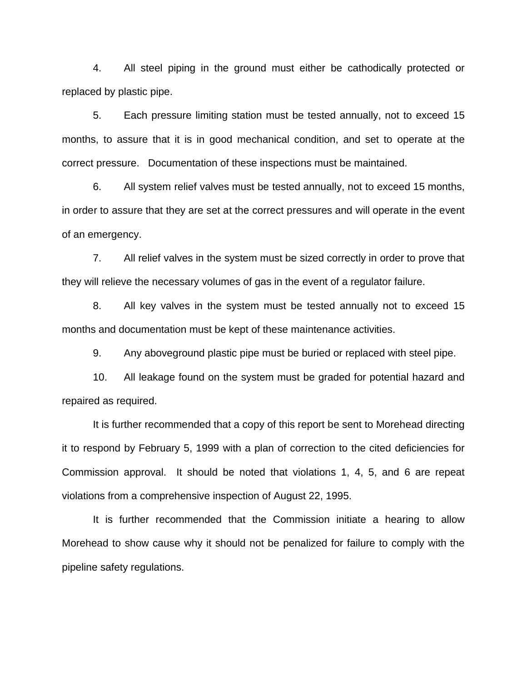4. All steel piping in the ground must either be cathodically protected or replaced by plastic pipe.

5. Each pressure limiting station must be tested annually, not to exceed 15 months, to assure that it is in good mechanical condition, and set to operate at the correct pressure. Documentation of these inspections must be maintained.

6. All system relief valves must be tested annually, not to exceed 15 months, in order to assure that they are set at the correct pressures and will operate in the event of an emergency.

7. All relief valves in the system must be sized correctly in order to prove that they will relieve the necessary volumes of gas in the event of a regulator failure.

8. All key valves in the system must be tested annually not to exceed 15 months and documentation must be kept of these maintenance activities.

9. Any aboveground plastic pipe must be buried or replaced with steel pipe.

10. All leakage found on the system must be graded for potential hazard and repaired as required.

It is further recommended that a copy of this report be sent to Morehead directing it to respond by February 5, 1999 with a plan of correction to the cited deficiencies for Commission approval. It should be noted that violations 1, 4, 5, and 6 are repeat violations from a comprehensive inspection of August 22, 1995.

It is further recommended that the Commission initiate a hearing to allow Morehead to show cause why it should not be penalized for failure to comply with the pipeline safety regulations.